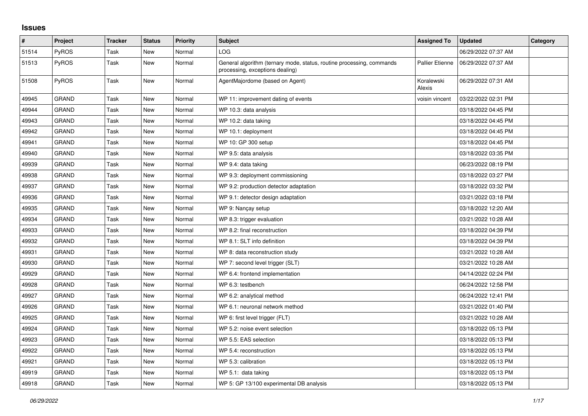## **Issues**

| #     | Project      | <b>Tracker</b> | <b>Status</b> | Priority | <b>Subject</b>                                                                                           | <b>Assigned To</b>     | <b>Updated</b>      | Category |
|-------|--------------|----------------|---------------|----------|----------------------------------------------------------------------------------------------------------|------------------------|---------------------|----------|
| 51514 | <b>PyROS</b> | Task           | New           | Normal   | LOG                                                                                                      |                        | 06/29/2022 07:37 AM |          |
| 51513 | PyROS        | Task           | <b>New</b>    | Normal   | General algorithm (ternary mode, status, routine processing, commands<br>processing, exceptions dealing) | <b>Pallier Etienne</b> | 06/29/2022 07:37 AM |          |
| 51508 | PyROS        | Task           | New           | Normal   | AgentMajordome (based on Agent)                                                                          | Koralewski<br>Alexis   | 06/29/2022 07:31 AM |          |
| 49945 | <b>GRAND</b> | Task           | <b>New</b>    | Normal   | WP 11: improvement dating of events                                                                      | voisin vincent         | 03/22/2022 02:31 PM |          |
| 49944 | <b>GRAND</b> | Task           | New           | Normal   | WP 10.3: data analysis                                                                                   |                        | 03/18/2022 04:45 PM |          |
| 49943 | <b>GRAND</b> | Task           | <b>New</b>    | Normal   | WP 10.2: data taking                                                                                     |                        | 03/18/2022 04:45 PM |          |
| 49942 | <b>GRAND</b> | Task           | New           | Normal   | WP 10.1: deployment                                                                                      |                        | 03/18/2022 04:45 PM |          |
| 49941 | <b>GRAND</b> | Task           | <b>New</b>    | Normal   | WP 10: GP 300 setup                                                                                      |                        | 03/18/2022 04:45 PM |          |
| 49940 | <b>GRAND</b> | Task           | New           | Normal   | WP 9.5: data analysis                                                                                    |                        | 03/18/2022 03:35 PM |          |
| 49939 | <b>GRAND</b> | Task           | New           | Normal   | WP 9.4: data taking                                                                                      |                        | 06/23/2022 08:19 PM |          |
| 49938 | <b>GRAND</b> | Task           | <b>New</b>    | Normal   | WP 9.3: deployment commissioning                                                                         |                        | 03/18/2022 03:27 PM |          |
| 49937 | <b>GRAND</b> | Task           | New           | Normal   | WP 9.2: production detector adaptation                                                                   |                        | 03/18/2022 03:32 PM |          |
| 49936 | <b>GRAND</b> | Task           | New           | Normal   | WP 9.1: detector design adaptation                                                                       |                        | 03/21/2022 03:18 PM |          |
| 49935 | <b>GRAND</b> | Task           | New           | Normal   | WP 9: Nancay setup                                                                                       |                        | 03/18/2022 12:20 AM |          |
| 49934 | <b>GRAND</b> | Task           | <b>New</b>    | Normal   | WP 8.3: trigger evaluation                                                                               |                        | 03/21/2022 10:28 AM |          |
| 49933 | <b>GRAND</b> | Task           | New           | Normal   | WP 8.2: final reconstruction                                                                             |                        | 03/18/2022 04:39 PM |          |
| 49932 | <b>GRAND</b> | Task           | New           | Normal   | WP 8.1: SLT info definition                                                                              |                        | 03/18/2022 04:39 PM |          |
| 49931 | <b>GRAND</b> | Task           | New           | Normal   | WP 8: data reconstruction study                                                                          |                        | 03/21/2022 10:28 AM |          |
| 49930 | <b>GRAND</b> | Task           | New           | Normal   | WP 7: second level trigger (SLT)                                                                         |                        | 03/21/2022 10:28 AM |          |
| 49929 | <b>GRAND</b> | Task           | New           | Normal   | WP 6.4: frontend implementation                                                                          |                        | 04/14/2022 02:24 PM |          |
| 49928 | <b>GRAND</b> | Task           | New           | Normal   | WP 6.3: testbench                                                                                        |                        | 06/24/2022 12:58 PM |          |
| 49927 | <b>GRAND</b> | Task           | <b>New</b>    | Normal   | WP 6.2: analytical method                                                                                |                        | 06/24/2022 12:41 PM |          |
| 49926 | <b>GRAND</b> | Task           | New           | Normal   | WP 6.1: neuronal network method                                                                          |                        | 03/21/2022 01:40 PM |          |
| 49925 | <b>GRAND</b> | Task           | <b>New</b>    | Normal   | WP 6: first level trigger (FLT)                                                                          |                        | 03/21/2022 10:28 AM |          |
| 49924 | <b>GRAND</b> | Task           | New           | Normal   | WP 5.2: noise event selection                                                                            |                        | 03/18/2022 05:13 PM |          |
| 49923 | GRAND        | Task           | New           | Normal   | WP 5.5: EAS selection                                                                                    |                        | 03/18/2022 05:13 PM |          |
| 49922 | <b>GRAND</b> | Task           | New           | Normal   | WP 5.4: reconstruction                                                                                   |                        | 03/18/2022 05:13 PM |          |
| 49921 | GRAND        | Task           | New           | Normal   | WP 5.3: calibration                                                                                      |                        | 03/18/2022 05:13 PM |          |
| 49919 | <b>GRAND</b> | Task           | <b>New</b>    | Normal   | WP 5.1: data taking                                                                                      |                        | 03/18/2022 05:13 PM |          |
| 49918 | <b>GRAND</b> | Task           | New           | Normal   | WP 5: GP 13/100 experimental DB analysis                                                                 |                        | 03/18/2022 05:13 PM |          |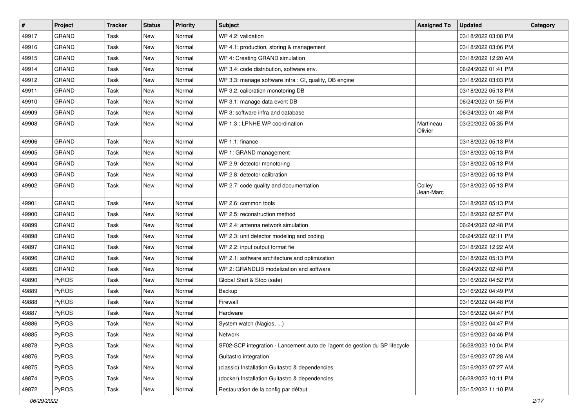| #     | Project      | <b>Tracker</b> | <b>Status</b> | <b>Priority</b> | <b>Subject</b>                                                              | <b>Assigned To</b>   | <b>Updated</b>      | Category |
|-------|--------------|----------------|---------------|-----------------|-----------------------------------------------------------------------------|----------------------|---------------------|----------|
| 49917 | GRAND        | Task           | <b>New</b>    | Normal          | WP 4.2: validation                                                          |                      | 03/18/2022 03:08 PM |          |
| 49916 | GRAND        | Task           | <b>New</b>    | Normal          | WP 4.1: production, storing & management                                    |                      | 03/18/2022 03:06 PM |          |
| 49915 | <b>GRAND</b> | Task           | New           | Normal          | WP 4: Creating GRAND simulation                                             |                      | 03/18/2022 12:20 AM |          |
| 49914 | <b>GRAND</b> | Task           | <b>New</b>    | Normal          | WP 3.4: code distribution, software env.                                    |                      | 06/24/2022 01:41 PM |          |
| 49912 | GRAND        | Task           | <b>New</b>    | Normal          | WP 3.3: manage software infra : CI, quality, DB engine                      |                      | 03/18/2022 03:03 PM |          |
| 49911 | GRAND        | Task           | New           | Normal          | WP 3.2: calibration monotoring DB                                           |                      | 03/18/2022 05:13 PM |          |
| 49910 | GRAND        | Task           | <b>New</b>    | Normal          | WP 3.1: manage data event DB                                                |                      | 06/24/2022 01:55 PM |          |
| 49909 | <b>GRAND</b> | Task           | New           | Normal          | WP 3: software infra and database                                           |                      | 06/24/2022 01:48 PM |          |
| 49908 | <b>GRAND</b> | Task           | New           | Normal          | WP 1.3 : LPNHE WP coordination                                              | Martineau<br>Olivier | 03/20/2022 05:35 PM |          |
| 49906 | <b>GRAND</b> | Task           | New           | Normal          | WP 1.1: finance                                                             |                      | 03/18/2022 05:13 PM |          |
| 49905 | <b>GRAND</b> | Task           | <b>New</b>    | Normal          | WP 1: GRAND management                                                      |                      | 03/18/2022 05:13 PM |          |
| 49904 | <b>GRAND</b> | Task           | New           | Normal          | WP 2.9: detector monotoring                                                 |                      | 03/18/2022 05:13 PM |          |
| 49903 | <b>GRAND</b> | Task           | New           | Normal          | WP 2.8: detector calibration                                                |                      | 03/18/2022 05:13 PM |          |
| 49902 | GRAND        | Task           | New           | Normal          | WP 2.7: code quality and documentation                                      | Colley<br>Jean-Marc  | 03/18/2022 05:13 PM |          |
| 49901 | <b>GRAND</b> | Task           | <b>New</b>    | Normal          | WP 2.6: common tools                                                        |                      | 03/18/2022 05:13 PM |          |
| 49900 | <b>GRAND</b> | Task           | <b>New</b>    | Normal          | WP 2.5: reconstruction method                                               |                      | 03/18/2022 02:57 PM |          |
| 49899 | GRAND        | Task           | New           | Normal          | WP 2.4: antenna network simulation                                          |                      | 06/24/2022 02:48 PM |          |
| 49898 | <b>GRAND</b> | Task           | <b>New</b>    | Normal          | WP 2.3: unit detector modeling and coding                                   |                      | 06/24/2022 02:11 PM |          |
| 49897 | <b>GRAND</b> | Task           | New           | Normal          | WP 2.2: input output format fie                                             |                      | 03/18/2022 12:22 AM |          |
| 49896 | GRAND        | Task           | <b>New</b>    | Normal          | WP 2.1: software architecture and optimization                              |                      | 03/18/2022 05:13 PM |          |
| 49895 | GRAND        | Task           | <b>New</b>    | Normal          | WP 2: GRANDLIB modelization and software                                    |                      | 06/24/2022 02:48 PM |          |
| 49890 | PyROS        | Task           | New           | Normal          | Global Start & Stop (safe)                                                  |                      | 03/16/2022 04:52 PM |          |
| 49889 | PyROS        | Task           | New           | Normal          | Backup                                                                      |                      | 03/16/2022 04:49 PM |          |
| 49888 | PyROS        | Task           | New           | Normal          | Firewall                                                                    |                      | 03/16/2022 04:48 PM |          |
| 49887 | PyROS        | Task           | <b>New</b>    | Normal          | Hardware                                                                    |                      | 03/16/2022 04:47 PM |          |
| 49886 | PyROS        | Task           | <b>New</b>    | Normal          | System watch (Nagios, )                                                     |                      | 03/16/2022 04:47 PM |          |
| 49885 | PyROS        | Task           | New           | Normal          | Network                                                                     |                      | 03/16/2022 04:46 PM |          |
| 49878 | PyROS        | Task           | New           | Normal          | SF02-SCP integration - Lancement auto de l'agent de gestion du SP lifecycle |                      | 06/28/2022 10:04 PM |          |
| 49876 | PyROS        | Task           | New           | Normal          | Guitastro integration                                                       |                      | 03/16/2022 07:28 AM |          |
| 49875 | PyROS        | Task           | New           | Normal          | (classic) Installation Guitastro & dependencies                             |                      | 03/16/2022 07:27 AM |          |
| 49874 | PyROS        | Task           | New           | Normal          | (docker) Installation Guitastro & dependencies                              |                      | 06/28/2022 10:11 PM |          |
| 49872 | PyROS        | Task           | New           | Normal          | Restauration de la config par défaut                                        |                      | 03/15/2022 11:10 PM |          |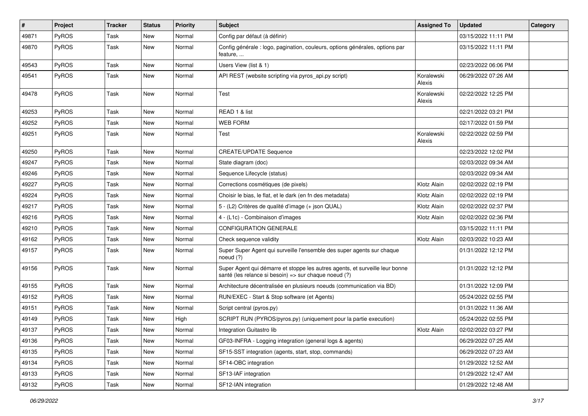| #     | Project | <b>Tracker</b> | <b>Status</b> | <b>Priority</b> | <b>Subject</b>                                                                                                                        | <b>Assigned To</b>   | <b>Updated</b>      | Category |
|-------|---------|----------------|---------------|-----------------|---------------------------------------------------------------------------------------------------------------------------------------|----------------------|---------------------|----------|
| 49871 | PyROS   | Task           | <b>New</b>    | Normal          | Config par défaut (à définir)                                                                                                         |                      | 03/15/2022 11:11 PM |          |
| 49870 | PyROS   | Task           | New           | Normal          | Config générale : logo, pagination, couleurs, options générales, options par<br>feature,                                              |                      | 03/15/2022 11:11 PM |          |
| 49543 | PyROS   | Task           | New           | Normal          | Users View (list & 1)                                                                                                                 |                      | 02/23/2022 06:06 PM |          |
| 49541 | PyROS   | Task           | <b>New</b>    | Normal          | API REST (website scripting via pyros_api.py script)                                                                                  | Koralewski<br>Alexis | 06/29/2022 07:26 AM |          |
| 49478 | PyROS   | Task           | New           | Normal          | Test                                                                                                                                  | Koralewski<br>Alexis | 02/22/2022 12:25 PM |          |
| 49253 | PyROS   | Task           | New           | Normal          | READ 1 & list                                                                                                                         |                      | 02/21/2022 03:21 PM |          |
| 49252 | PyROS   | Task           | <b>New</b>    | Normal          | <b>WEB FORM</b>                                                                                                                       |                      | 02/17/2022 01:59 PM |          |
| 49251 | PyROS   | Task           | New           | Normal          | Test                                                                                                                                  | Koralewski<br>Alexis | 02/22/2022 02:59 PM |          |
| 49250 | PyROS   | Task           | <b>New</b>    | Normal          | <b>CREATE/UPDATE Sequence</b>                                                                                                         |                      | 02/23/2022 12:02 PM |          |
| 49247 | PyROS   | Task           | New           | Normal          | State diagram (doc)                                                                                                                   |                      | 02/03/2022 09:34 AM |          |
| 49246 | PyROS   | Task           | <b>New</b>    | Normal          | Sequence Lifecycle (status)                                                                                                           |                      | 02/03/2022 09:34 AM |          |
| 49227 | PyROS   | Task           | New           | Normal          | Corrections cosmétiques (de pixels)                                                                                                   | Klotz Alain          | 02/02/2022 02:19 PM |          |
| 49224 | PyROS   | Task           | <b>New</b>    | Normal          | Choisir le bias, le flat, et le dark (en fn des metadata)                                                                             | Klotz Alain          | 02/02/2022 02:19 PM |          |
| 49217 | PyROS   | Task           | <b>New</b>    | Normal          | 5 - (L2) Critères de qualité d'image (+ json QUAL)                                                                                    | Klotz Alain          | 02/02/2022 02:37 PM |          |
| 49216 | PyROS   | Task           | <b>New</b>    | Normal          | 4 - (L1c) - Combinaison d'images                                                                                                      | Klotz Alain          | 02/02/2022 02:36 PM |          |
| 49210 | PyROS   | Task           | <b>New</b>    | Normal          | <b>CONFIGURATION GENERALE</b>                                                                                                         |                      | 03/15/2022 11:11 PM |          |
| 49162 | PyROS   | Task           | New           | Normal          | Check sequence validity                                                                                                               | Klotz Alain          | 02/03/2022 10:23 AM |          |
| 49157 | PyROS   | Task           | New           | Normal          | Super Super Agent qui surveille l'ensemble des super agents sur chaque<br>noeud $(?)$                                                 |                      | 01/31/2022 12:12 PM |          |
| 49156 | PyROS   | Task           | New           | Normal          | Super Agent qui démarre et stoppe les autres agents, et surveille leur bonne<br>santé (les relance si besoin) => sur chaque noeud (?) |                      | 01/31/2022 12:12 PM |          |
| 49155 | PyROS   | Task           | New           | Normal          | Architecture décentralisée en plusieurs noeuds (communication via BD)                                                                 |                      | 01/31/2022 12:09 PM |          |
| 49152 | PyROS   | Task           | New           | Normal          | RUN/EXEC - Start & Stop software (et Agents)                                                                                          |                      | 05/24/2022 02:55 PM |          |
| 49151 | PyROS   | Task           | New           | Normal          | Script central (pyros.py)                                                                                                             |                      | 01/31/2022 11:36 AM |          |
| 49149 | PyROS   | Task           | New           | High            | SCRIPT RUN (PYROS/pyros.py) (uniquement pour la partie execution)                                                                     |                      | 05/24/2022 02:55 PM |          |
| 49137 | PyROS   | Task           | <b>New</b>    | Normal          | Integration Guitastro lib                                                                                                             | Klotz Alain          | 02/02/2022 03:27 PM |          |
| 49136 | PyROS   | Task           | New           | Normal          | GF03-INFRA - Logging integration (general logs & agents)                                                                              |                      | 06/29/2022 07:25 AM |          |
| 49135 | PyROS   | Task           | New           | Normal          | SF15-SST integration (agents, start, stop, commands)                                                                                  |                      | 06/29/2022 07:23 AM |          |
| 49134 | PyROS   | Task           | New           | Normal          | SF14-OBC integration                                                                                                                  |                      | 01/29/2022 12:52 AM |          |
| 49133 | PyROS   | Task           | New           | Normal          | SF13-IAF integration                                                                                                                  |                      | 01/29/2022 12:47 AM |          |
| 49132 | PyROS   | Task           | New           | Normal          | SF12-IAN integration                                                                                                                  |                      | 01/29/2022 12:48 AM |          |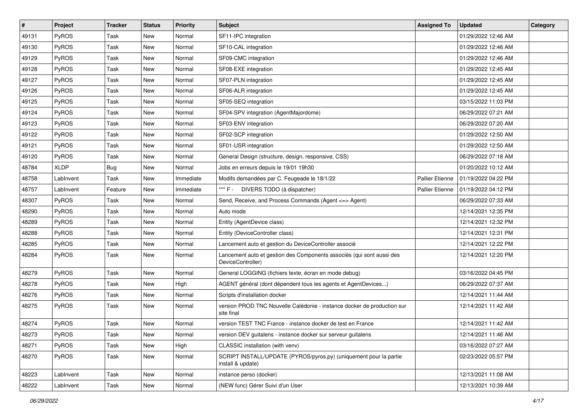| #     | Project     | <b>Tracker</b> | <b>Status</b> | <b>Priority</b> | Subject                                                                                    | <b>Assigned To</b>     | <b>Updated</b>      | Category |
|-------|-------------|----------------|---------------|-----------------|--------------------------------------------------------------------------------------------|------------------------|---------------------|----------|
| 49131 | PyROS       | Task           | New           | Normal          | SF11-IPC integration                                                                       |                        | 01/29/2022 12:46 AM |          |
| 49130 | PyROS       | Task           | <b>New</b>    | Normal          | SF10-CAL integration                                                                       |                        | 01/29/2022 12:46 AM |          |
| 49129 | PyROS       | Task           | New           | Normal          | SF09-CMC integration                                                                       |                        | 01/29/2022 12:46 AM |          |
| 49128 | PyROS       | Task           | New           | Normal          | SF08-EXE integration                                                                       |                        | 01/29/2022 12:45 AM |          |
| 49127 | PyROS       | Task           | New           | Normal          | SF07-PLN integration                                                                       |                        | 01/29/2022 12:45 AM |          |
| 49126 | PyROS       | Task           | New           | Normal          | SF06-ALR integration                                                                       |                        | 01/29/2022 12:45 AM |          |
| 49125 | PyROS       | Task           | <b>New</b>    | Normal          | SF05-SEQ integration                                                                       |                        | 03/15/2022 11:03 PM |          |
| 49124 | PyROS       | Task           | New           | Normal          | SF04-SPV integration (AgentMajordome)                                                      |                        | 06/29/2022 07:21 AM |          |
| 49123 | PyROS       | Task           | New           | Normal          | SF03-ENV integration                                                                       |                        | 06/29/2022 07:20 AM |          |
| 49122 | PyROS       | Task           | <b>New</b>    | Normal          | SF02-SCP integration                                                                       |                        | 01/29/2022 12:50 AM |          |
| 49121 | PyROS       | Task           | New           | Normal          | SF01-USR integration                                                                       |                        | 01/29/2022 12:50 AM |          |
| 49120 | PyROS       | Task           | New           | Normal          | General Design (structure, design, responsive, CSS)                                        |                        | 06/29/2022 07:18 AM |          |
| 48784 | <b>XLDP</b> | Bug            | New           | Normal          | Jobs en erreurs depuis le 19/01 19h30                                                      |                        | 01/20/2022 10:12 AM |          |
| 48758 | LabInvent   | Task           | New           | Immediate       | Modifs demandées par C. Feugeade le 18/1/22                                                | <b>Pallier Etienne</b> | 01/19/2022 04:22 PM |          |
| 48757 | LabInvent   | Feature        | New           | Immediate       | *** F -<br>DIVERS TODO (à dispatcher)                                                      | Pallier Etienne        | 01/19/2022 04:12 PM |          |
| 48307 | PyROS       | Task           | New           | Normal          | Send, Receive, and Process Commands (Agent <= > Agent)                                     |                        | 06/29/2022 07:33 AM |          |
| 48290 | PyROS       | Task           | New           | Normal          | Auto mode                                                                                  |                        | 12/14/2021 12:35 PM |          |
| 48289 | PyROS       | Task           | New           | Normal          | Entity (AgentDevice class)                                                                 |                        | 12/14/2021 12:32 PM |          |
| 48288 | PyROS       | Task           | New           | Normal          | Entity (DeviceController class)                                                            |                        | 12/14/2021 12:31 PM |          |
| 48285 | PyROS       | Task           | <b>New</b>    | Normal          | Lancement auto et gestion du DeviceController associé                                      |                        | 12/14/2021 12:22 PM |          |
| 48284 | PyROS       | Task           | New           | Normal          | Lancement auto et gestion des Components associés (qui sont aussi des<br>DeviceController) |                        | 12/14/2021 12:20 PM |          |
| 48279 | PyROS       | Task           | New           | Normal          | General LOGGING (fichiers texte, écran en mode debug)                                      |                        | 03/16/2022 04:45 PM |          |
| 48278 | PyROS       | Task           | New           | High            | AGENT général (dont dépendent tous les agents et AgentDevices)                             |                        | 06/29/2022 07:37 AM |          |
| 48276 | PyROS       | Task           | New           | Normal          | Scripts d'installation docker                                                              |                        | 12/14/2021 11:44 AM |          |
| 48275 | PyROS       | Task           | New           | Normal          | version PROD TNC Nouvelle Calédonie - instance docker de production sur<br>site final      |                        | 12/14/2021 11:42 AM |          |
| 48274 | PyROS       | Task           | New           | Normal          | version TEST TNC France - instance docker de test en France                                |                        | 12/14/2021 11:42 AM |          |
| 48273 | PyROS       | Task           | New           | Normal          | version DEV guitalens - instance docker sur serveur guitalens                              |                        | 12/14/2021 11:46 AM |          |
| 48271 | PyROS       | Task           | New           | High            | CLASSIC installation (with venv)                                                           |                        | 03/16/2022 07:27 AM |          |
| 48270 | PyROS       | Task           | New           | Normal          | SCRIPT INSTALL/UPDATE (PYROS/pyros.py) (uniquement pour la partie<br>install & update)     |                        | 02/23/2022 05:57 PM |          |
| 48223 | LabInvent   | Task           | New           | Normal          | instance perso (docker)                                                                    |                        | 12/13/2021 11:08 AM |          |
| 48222 | LabInvent   | Task           | New           | Normal          | (NEW func) Gérer Suivi d'un User                                                           |                        | 12/13/2021 10:39 AM |          |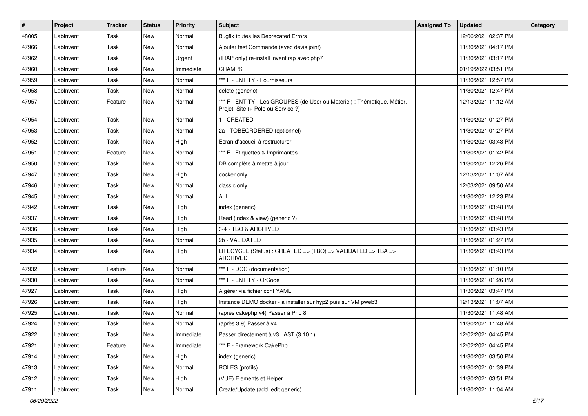| #     | Project   | <b>Tracker</b> | <b>Status</b> | Priority  | <b>Subject</b>                                                                                                 | <b>Assigned To</b> | <b>Updated</b>      | Category |
|-------|-----------|----------------|---------------|-----------|----------------------------------------------------------------------------------------------------------------|--------------------|---------------------|----------|
| 48005 | LabInvent | Task           | <b>New</b>    | Normal    | <b>Bugfix toutes les Deprecated Errors</b>                                                                     |                    | 12/06/2021 02:37 PM |          |
| 47966 | LabInvent | Task           | New           | Normal    | Ajouter test Commande (avec devis joint)                                                                       |                    | 11/30/2021 04:17 PM |          |
| 47962 | LabInvent | Task           | New           | Urgent    | (IRAP only) re-install inventirap avec php7                                                                    |                    | 11/30/2021 03:17 PM |          |
| 47960 | LabInvent | Task           | New           | Immediate | <b>CHAMPS</b>                                                                                                  |                    | 01/19/2022 03:51 PM |          |
| 47959 | LabInvent | Task           | New           | Normal    | *** F - ENTITY - Fournisseurs                                                                                  |                    | 11/30/2021 12:57 PM |          |
| 47958 | LabInvent | Task           | New           | Normal    | delete (generic)                                                                                               |                    | 11/30/2021 12:47 PM |          |
| 47957 | LabInvent | Feature        | New           | Normal    | *** F - ENTITY - Les GROUPES (de User ou Materiel) : Thématique, Métier,<br>Projet, Site (+ Pole ou Service ?) |                    | 12/13/2021 11:12 AM |          |
| 47954 | LabInvent | Task           | New           | Normal    | 1 - CREATED                                                                                                    |                    | 11/30/2021 01:27 PM |          |
| 47953 | LabInvent | Task           | New           | Normal    | 2a - TOBEORDERED (optionnel)                                                                                   |                    | 11/30/2021 01:27 PM |          |
| 47952 | LabInvent | Task           | New           | High      | Ecran d'accueil à restructurer                                                                                 |                    | 11/30/2021 03:43 PM |          |
| 47951 | LabInvent | Feature        | New           | Normal    | *** F - Etiquettes & Imprimantes                                                                               |                    | 11/30/2021 01:42 PM |          |
| 47950 | LabInvent | Task           | New           | Normal    | DB complète à mettre à jour                                                                                    |                    | 11/30/2021 12:26 PM |          |
| 47947 | LabInvent | Task           | New           | High      | docker only                                                                                                    |                    | 12/13/2021 11:07 AM |          |
| 47946 | LabInvent | Task           | <b>New</b>    | Normal    | classic only                                                                                                   |                    | 12/03/2021 09:50 AM |          |
| 47945 | LabInvent | Task           | New           | Normal    | <b>ALL</b>                                                                                                     |                    | 11/30/2021 12:23 PM |          |
| 47942 | LabInvent | Task           | New           | High      | index (generic)                                                                                                |                    | 11/30/2021 03:48 PM |          |
| 47937 | LabInvent | Task           | New           | High      | Read (index & view) (generic ?)                                                                                |                    | 11/30/2021 03:48 PM |          |
| 47936 | LabInvent | Task           | New           | High      | 3-4 - TBO & ARCHIVED                                                                                           |                    | 11/30/2021 03:43 PM |          |
| 47935 | LabInvent | Task           | New           | Normal    | 2b - VALIDATED                                                                                                 |                    | 11/30/2021 01:27 PM |          |
| 47934 | LabInvent | Task           | New           | High      | LIFECYCLE (Status) : CREATED => (TBO) => VALIDATED => TBA =><br><b>ARCHIVED</b>                                |                    | 11/30/2021 03:43 PM |          |
| 47932 | LabInvent | Feature        | New           | Normal    | *** F - DOC (documentation)                                                                                    |                    | 11/30/2021 01:10 PM |          |
| 47930 | LabInvent | Task           | New           | Normal    | *** F - ENTITY - QrCode                                                                                        |                    | 11/30/2021 01:26 PM |          |
| 47927 | LabInvent | Task           | New           | High      | A gérer via fichier conf YAML                                                                                  |                    | 11/30/2021 03:47 PM |          |
| 47926 | LabInvent | Task           | New           | High      | Instance DEMO docker - à installer sur hyp2 puis sur VM pweb3                                                  |                    | 12/13/2021 11:07 AM |          |
| 47925 | LabInvent | Task           | <b>New</b>    | Normal    | (après cakephp v4) Passer à Php 8                                                                              |                    | 11/30/2021 11:48 AM |          |
| 47924 | LabInvent | Task           | <b>New</b>    | Normal    | (après 3.9) Passer à v4                                                                                        |                    | 11/30/2021 11:48 AM |          |
| 47922 | LabInvent | Task           | New           | Immediate | Passer directement à v3.LAST (3.10.1)                                                                          |                    | 12/02/2021 04:45 PM |          |
| 47921 | LabInvent | Feature        | New           | Immediate | *** F - Framework CakePhp                                                                                      |                    | 12/02/2021 04:45 PM |          |
| 47914 | LabInvent | Task           | New           | High      | index (generic)                                                                                                |                    | 11/30/2021 03:50 PM |          |
| 47913 | LabInvent | Task           | New           | Normal    | ROLES (profils)                                                                                                |                    | 11/30/2021 01:39 PM |          |
| 47912 | LabInvent | Task           | New           | High      | (VUE) Elements et Helper                                                                                       |                    | 11/30/2021 03:51 PM |          |
| 47911 | LabInvent | Task           | New           | Normal    | Create/Update (add edit generic)                                                                               |                    | 11/30/2021 11:04 AM |          |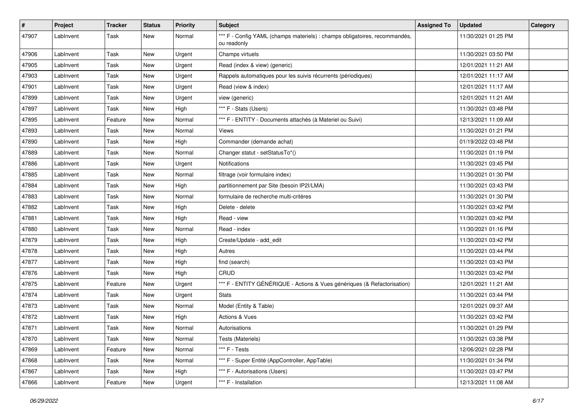| #     | Project   | <b>Tracker</b> | <b>Status</b> | <b>Priority</b> | <b>Subject</b>                                                                            | <b>Assigned To</b> | <b>Updated</b>      | Category |
|-------|-----------|----------------|---------------|-----------------|-------------------------------------------------------------------------------------------|--------------------|---------------------|----------|
| 47907 | LabInvent | Task           | New           | Normal          | *** F - Config YAML (champs materiels) : champs obligatoires, recommandés,<br>ou readonly |                    | 11/30/2021 01:25 PM |          |
| 47906 | LabInvent | Task           | New           | Urgent          | Champs virtuels                                                                           |                    | 11/30/2021 03:50 PM |          |
| 47905 | LabInvent | Task           | <b>New</b>    | Urgent          | Read (index & view) (generic)                                                             |                    | 12/01/2021 11:21 AM |          |
| 47903 | LabInvent | Task           | <b>New</b>    | Urgent          | Rappels automatiques pour les suivis récurrents (périodiques)                             |                    | 12/01/2021 11:17 AM |          |
| 47901 | LabInvent | Task           | New           | Urgent          | Read (view & index)                                                                       |                    | 12/01/2021 11:17 AM |          |
| 47899 | LabInvent | Task           | New           | Urgent          | view (generic)                                                                            |                    | 12/01/2021 11:21 AM |          |
| 47897 | LabInvent | Task           | New           | High            | *** F - Stats (Users)                                                                     |                    | 11/30/2021 03:48 PM |          |
| 47895 | LabInvent | Feature        | <b>New</b>    | Normal          | *** F - ENTITY - Documents attachés (à Materiel ou Suivi)                                 |                    | 12/13/2021 11:09 AM |          |
| 47893 | LabInvent | Task           | New           | Normal          | Views                                                                                     |                    | 11/30/2021 01:21 PM |          |
| 47890 | LabInvent | Task           | New           | High            | Commander (demande achat)                                                                 |                    | 01/19/2022 03:48 PM |          |
| 47889 | LabInvent | Task           | New           | Normal          | Changer statut - setStatusTo*()                                                           |                    | 11/30/2021 01:19 PM |          |
| 47886 | LabInvent | Task           | New           | Urgent          | Notifications                                                                             |                    | 11/30/2021 03:45 PM |          |
| 47885 | LabInvent | Task           | New           | Normal          | filtrage (voir formulaire index)                                                          |                    | 11/30/2021 01:30 PM |          |
| 47884 | LabInvent | Task           | New           | High            | partitionnement par Site (besoin IP2I/LMA)                                                |                    | 11/30/2021 03:43 PM |          |
| 47883 | LabInvent | Task           | New           | Normal          | formulaire de recherche multi-critères                                                    |                    | 11/30/2021 01:30 PM |          |
| 47882 | LabInvent | Task           | New           | High            | Delete - delete                                                                           |                    | 11/30/2021 03:42 PM |          |
| 47881 | LabInvent | Task           | New           | High            | Read - view                                                                               |                    | 11/30/2021 03:42 PM |          |
| 47880 | LabInvent | Task           | New           | Normal          | Read - index                                                                              |                    | 11/30/2021 01:16 PM |          |
| 47879 | LabInvent | Task           | <b>New</b>    | High            | Create/Update - add_edit                                                                  |                    | 11/30/2021 03:42 PM |          |
| 47878 | LabInvent | Task           | New           | High            | Autres                                                                                    |                    | 11/30/2021 03:44 PM |          |
| 47877 | LabInvent | Task           | New           | High            | find (search)                                                                             |                    | 11/30/2021 03:43 PM |          |
| 47876 | LabInvent | Task           | <b>New</b>    | High            | CRUD                                                                                      |                    | 11/30/2021 03:42 PM |          |
| 47875 | LabInvent | Feature        | New           | Urgent          | *** F - ENTITY GÉNÉRIQUE - Actions & Vues génériques (& Refactorisation)                  |                    | 12/01/2021 11:21 AM |          |
| 47874 | LabInvent | Task           | New           | Urgent          | <b>Stats</b>                                                                              |                    | 11/30/2021 03:44 PM |          |
| 47873 | LabInvent | Task           | New           | Normal          | Model (Entity & Table)                                                                    |                    | 12/01/2021 09:37 AM |          |
| 47872 | LabInvent | Task           | New           | High            | Actions & Vues                                                                            |                    | 11/30/2021 03:42 PM |          |
| 47871 | LabInvent | Task           | New           | Normal          | Autorisations                                                                             |                    | 11/30/2021 01:29 PM |          |
| 47870 | LabInvent | Task           | New           | Normal          | Tests (Materiels)                                                                         |                    | 11/30/2021 03:38 PM |          |
| 47869 | LabInvent | Feature        | New           | Normal          | *** F - Tests                                                                             |                    | 12/06/2021 02:28 PM |          |
| 47868 | LabInvent | Task           | New           | Normal          | *** F - Super Entité (AppController, AppTable)                                            |                    | 11/30/2021 01:34 PM |          |
| 47867 | LabInvent | Task           | New           | High            | *** F - Autorisations (Users)                                                             |                    | 11/30/2021 03:47 PM |          |
| 47866 | LabInvent | Feature        | New           | Urgent          | *** F - Installation                                                                      |                    | 12/13/2021 11:08 AM |          |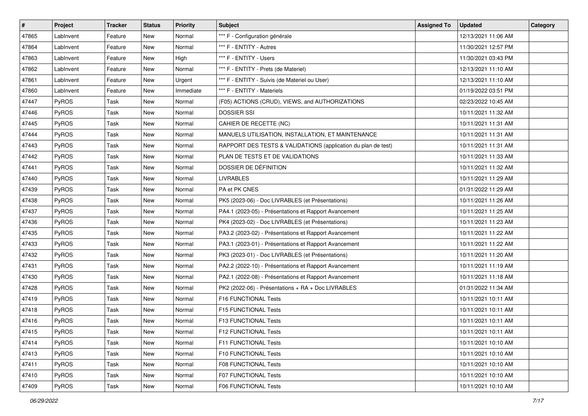| #     | Project      | <b>Tracker</b> | <b>Status</b> | <b>Priority</b> | <b>Subject</b>                                                | <b>Assigned To</b> | <b>Updated</b>      | Category |
|-------|--------------|----------------|---------------|-----------------|---------------------------------------------------------------|--------------------|---------------------|----------|
| 47865 | LabInvent    | Feature        | New           | Normal          | *** F - Configuration générale                                |                    | 12/13/2021 11:06 AM |          |
| 47864 | LabInvent    | Feature        | New           | Normal          | *** F - ENTITY - Autres                                       |                    | 11/30/2021 12:57 PM |          |
| 47863 | LabInvent    | Feature        | New           | High            | *** F - ENTITY - Users                                        |                    | 11/30/2021 03:43 PM |          |
| 47862 | LabInvent    | Feature        | New           | Normal          | *** F - ENTITY - Prets (de Materiel)                          |                    | 12/13/2021 11:10 AM |          |
| 47861 | LabInvent    | Feature        | <b>New</b>    | Urgent          | *** F - ENTITY - Suivis (de Materiel ou User)                 |                    | 12/13/2021 11:10 AM |          |
| 47860 | LabInvent    | Feature        | New           | Immediate       | *** F - ENTITY - Materiels                                    |                    | 01/19/2022 03:51 PM |          |
| 47447 | PyROS        | Task           | New           | Normal          | (F05) ACTIONS (CRUD), VIEWS, and AUTHORIZATIONS               |                    | 02/23/2022 10:45 AM |          |
| 47446 | <b>PyROS</b> | Task           | New           | Normal          | <b>DOSSIER SSI</b>                                            |                    | 10/11/2021 11:32 AM |          |
| 47445 | PyROS        | Task           | New           | Normal          | CAHIER DE RECETTE (NC)                                        |                    | 10/11/2021 11:31 AM |          |
| 47444 | PyROS        | Task           | New           | Normal          | MANUELS UTILISATION, INSTALLATION, ET MAINTENANCE             |                    | 10/11/2021 11:31 AM |          |
| 47443 | PyROS        | Task           | New           | Normal          | RAPPORT DES TESTS & VALIDATIONS (application du plan de test) |                    | 10/11/2021 11:31 AM |          |
| 47442 | PyROS        | Task           | New           | Normal          | PLAN DE TESTS ET DE VALIDATIONS                               |                    | 10/11/2021 11:33 AM |          |
| 47441 | PyROS        | Task           | New           | Normal          | DOSSIER DE DÉFINITION                                         |                    | 10/11/2021 11:32 AM |          |
| 47440 | PyROS        | Task           | <b>New</b>    | Normal          | <b>LIVRABLES</b>                                              |                    | 10/11/2021 11:29 AM |          |
| 47439 | PyROS        | Task           | <b>New</b>    | Normal          | PA et PK CNES                                                 |                    | 01/31/2022 11:29 AM |          |
| 47438 | <b>PyROS</b> | Task           | New           | Normal          | PK5 (2023-06) - Doc LIVRABLES (et Présentations)              |                    | 10/11/2021 11:26 AM |          |
| 47437 | PyROS        | Task           | New           | Normal          | PA4.1 (2023-05) - Présentations et Rapport Avancement         |                    | 10/11/2021 11:25 AM |          |
| 47436 | PyROS        | Task           | New           | Normal          | PK4 (2023-02) - Doc LIVRABLES (et Présentations)              |                    | 10/11/2021 11:23 AM |          |
| 47435 | PyROS        | Task           | New           | Normal          | PA3.2 (2023-02) - Présentations et Rapport Avancement         |                    | 10/11/2021 11:22 AM |          |
| 47433 | PyROS        | Task           | New           | Normal          | PA3.1 (2023-01) - Présentations et Rapport Avancement         |                    | 10/11/2021 11:22 AM |          |
| 47432 | PyROS        | Task           | New           | Normal          | PK3 (2023-01) - Doc LIVRABLES (et Présentations)              |                    | 10/11/2021 11:20 AM |          |
| 47431 | PyROS        | Task           | New           | Normal          | PA2.2 (2022-10) - Présentations et Rapport Avancement         |                    | 10/11/2021 11:19 AM |          |
| 47430 | PyROS        | Task           | New           | Normal          | PA2.1 (2022-08) - Présentations et Rapport Avancement         |                    | 10/11/2021 11:18 AM |          |
| 47428 | PyROS        | Task           | New           | Normal          | PK2 (2022-06) - Présentations + RA + Doc LIVRABLES            |                    | 01/31/2022 11:34 AM |          |
| 47419 | PyROS        | Task           | New           | Normal          | F16 FUNCTIONAL Tests                                          |                    | 10/11/2021 10:11 AM |          |
| 47418 | PyROS        | Task           | New           | Normal          | F15 FUNCTIONAL Tests                                          |                    | 10/11/2021 10:11 AM |          |
| 47416 | PyROS        | Task           | <b>New</b>    | Normal          | F13 FUNCTIONAL Tests                                          |                    | 10/11/2021 10:11 AM |          |
| 47415 | PyROS        | Task           | New           | Normal          | F12 FUNCTIONAL Tests                                          |                    | 10/11/2021 10:11 AM |          |
| 47414 | <b>PyROS</b> | Task           | New           | Normal          | <b>F11 FUNCTIONAL Tests</b>                                   |                    | 10/11/2021 10:10 AM |          |
| 47413 | PyROS        | Task           | New           | Normal          | F10 FUNCTIONAL Tests                                          |                    | 10/11/2021 10:10 AM |          |
| 47411 | <b>PyROS</b> | Task           | New           | Normal          | F08 FUNCTIONAL Tests                                          |                    | 10/11/2021 10:10 AM |          |
| 47410 | PyROS        | Task           | New           | Normal          | F07 FUNCTIONAL Tests                                          |                    | 10/11/2021 10:10 AM |          |
| 47409 | PyROS        | Task           | New           | Normal          | F06 FUNCTIONAL Tests                                          |                    | 10/11/2021 10:10 AM |          |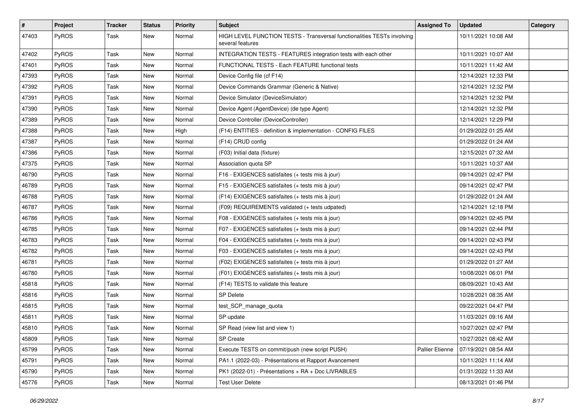| #     | Project      | <b>Tracker</b> | <b>Status</b> | <b>Priority</b> | <b>Subject</b>                                                                              | <b>Assigned To</b>     | <b>Updated</b>      | Category |
|-------|--------------|----------------|---------------|-----------------|---------------------------------------------------------------------------------------------|------------------------|---------------------|----------|
| 47403 | PyROS        | Task           | New           | Normal          | HIGH LEVEL FUNCTION TESTS - Transversal functionalities TESTs involving<br>several features |                        | 10/11/2021 10:08 AM |          |
| 47402 | PyROS        | Task           | New           | Normal          | INTEGRATION TESTS - FEATURES integration tests with each other                              |                        | 10/11/2021 10:07 AM |          |
| 47401 | PyROS        | Task           | <b>New</b>    | Normal          | FUNCTIONAL TESTS - Each FEATURE functional tests                                            |                        | 10/11/2021 11:42 AM |          |
| 47393 | PyROS        | Task           | <b>New</b>    | Normal          | Device Config file (cf F14)                                                                 |                        | 12/14/2021 12:33 PM |          |
| 47392 | PyROS        | Task           | <b>New</b>    | Normal          | Device Commands Grammar (Generic & Native)                                                  |                        | 12/14/2021 12:32 PM |          |
| 47391 | PyROS        | Task           | <b>New</b>    | Normal          | Device Simulator (DeviceSimulator)                                                          |                        | 12/14/2021 12:32 PM |          |
| 47390 | PyROS        | Task           | New           | Normal          | Device Agent (AgentDevice) (de type Agent)                                                  |                        | 12/14/2021 12:32 PM |          |
| 47389 | PyROS        | Task           | New           | Normal          | Device Controller (DeviceController)                                                        |                        | 12/14/2021 12:29 PM |          |
| 47388 | PyROS        | Task           | <b>New</b>    | High            | (F14) ENTITIES - definition & implementation - CONFIG FILES                                 |                        | 01/29/2022 01:25 AM |          |
| 47387 | PyROS        | Task           | New           | Normal          | (F14) CRUD config                                                                           |                        | 01/29/2022 01:24 AM |          |
| 47386 | PyROS        | Task           | New           | Normal          | (F03) Initial data (fixture)                                                                |                        | 12/15/2021 07:32 AM |          |
| 47375 | PyROS        | Task           | New           | Normal          | Association quota SP                                                                        |                        | 10/11/2021 10:37 AM |          |
| 46790 | PyROS        | Task           | <b>New</b>    | Normal          | F16 - EXIGENCES satisfaites (+ tests mis à jour)                                            |                        | 09/14/2021 02:47 PM |          |
| 46789 | PyROS        | Task           | <b>New</b>    | Normal          | F15 - EXIGENCES satisfaites (+ tests mis à jour)                                            |                        | 09/14/2021 02:47 PM |          |
| 46788 | PyROS        | Task           | New           | Normal          | (F14) EXIGENCES satisfaites (+ tests mis à jour)                                            |                        | 01/29/2022 01:24 AM |          |
| 46787 | PyROS        | Task           | New           | Normal          | (F09) REQUIREMENTS validated (+ tests udpated)                                              |                        | 12/14/2021 12:18 PM |          |
| 46786 | PyROS        | Task           | New           | Normal          | F08 - EXIGENCES satisfaites (+ tests mis à jour)                                            |                        | 09/14/2021 02:45 PM |          |
| 46785 | PyROS        | Task           | New           | Normal          | F07 - EXIGENCES satisfaites (+ tests mis à jour)                                            |                        | 09/14/2021 02:44 PM |          |
| 46783 | PyROS        | Task           | New           | Normal          | F04 - EXIGENCES satisfaites (+ tests mis à jour)                                            |                        | 09/14/2021 02:43 PM |          |
| 46782 | <b>PyROS</b> | Task           | New           | Normal          | F03 - EXIGENCES satisfaites (+ tests mis à jour)                                            |                        | 09/14/2021 02:43 PM |          |
| 46781 | PyROS        | Task           | New           | Normal          | (F02) EXIGENCES satisfaites (+ tests mis à jour)                                            |                        | 01/29/2022 01:27 AM |          |
| 46780 | PyROS        | Task           | <b>New</b>    | Normal          | (F01) EXIGENCES satisfaites (+ tests mis à jour)                                            |                        | 10/08/2021 06:01 PM |          |
| 45818 | PyROS        | Task           | New           | Normal          | (F14) TESTS to validate this feature                                                        |                        | 08/09/2021 10:43 AM |          |
| 45816 | PyROS        | Task           | <b>New</b>    | Normal          | <b>SP Delete</b>                                                                            |                        | 10/28/2021 08:35 AM |          |
| 45815 | PyROS        | Task           | New           | Normal          | test SCP manage quota                                                                       |                        | 09/22/2021 04:47 PM |          |
| 45811 | PyROS        | Task           | New           | Normal          | SP update                                                                                   |                        | 11/03/2021 09:16 AM |          |
| 45810 | PyROS        | Task           | <b>New</b>    | Normal          | SP Read (view list and view 1)                                                              |                        | 10/27/2021 02:47 PM |          |
| 45809 | PyROS        | Task           | New           | Normal          | <b>SP Create</b>                                                                            |                        | 10/27/2021 08:42 AM |          |
| 45799 | PyROS        | Task           | New           | Normal          | Execute TESTS on commit/push (new script PUSH)                                              | <b>Pallier Etienne</b> | 07/19/2021 08:54 AM |          |
| 45791 | PyROS        | Task           | New           | Normal          | PA1.1 (2022-03) - Présentations et Rapport Avancement                                       |                        | 10/11/2021 11:14 AM |          |
| 45790 | PyROS        | Task           | New           | Normal          | PK1 (2022-01) - Présentations + RA + Doc LIVRABLES                                          |                        | 01/31/2022 11:33 AM |          |
| 45776 | PyROS        | Task           | New           | Normal          | <b>Test User Delete</b>                                                                     |                        | 08/13/2021 01:46 PM |          |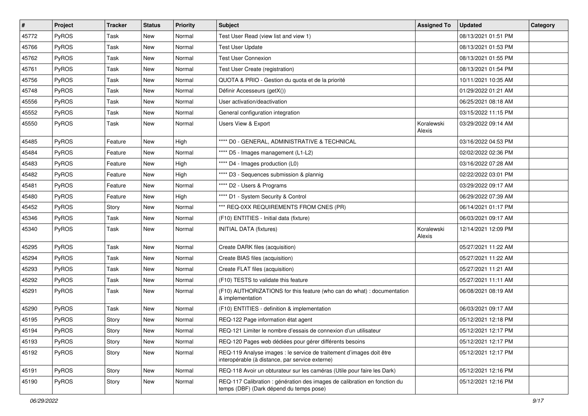| $\vert$ # | Project      | <b>Tracker</b> | <b>Status</b> | Priority | <b>Subject</b>                                                                                                          | <b>Assigned To</b>   | <b>Updated</b>      | Category |
|-----------|--------------|----------------|---------------|----------|-------------------------------------------------------------------------------------------------------------------------|----------------------|---------------------|----------|
| 45772     | PyROS        | Task           | New           | Normal   | Test User Read (view list and view 1)                                                                                   |                      | 08/13/2021 01:51 PM |          |
| 45766     | PyROS        | <b>Task</b>    | New           | Normal   | <b>Test User Update</b>                                                                                                 |                      | 08/13/2021 01:53 PM |          |
| 45762     | <b>PyROS</b> | Task           | New           | Normal   | <b>Test User Connexion</b>                                                                                              |                      | 08/13/2021 01:55 PM |          |
| 45761     | PyROS        | Task           | New           | Normal   | Test User Create (registration)                                                                                         |                      | 08/13/2021 01:54 PM |          |
| 45756     | PyROS        | Task           | New           | Normal   | QUOTA & PRIO - Gestion du quota et de la priorité                                                                       |                      | 10/11/2021 10:35 AM |          |
| 45748     | PyROS        | Task           | New           | Normal   | Définir Accesseurs (getX())                                                                                             |                      | 01/29/2022 01:21 AM |          |
| 45556     | PyROS        | Task           | <b>New</b>    | Normal   | User activation/deactivation                                                                                            |                      | 06/25/2021 08:18 AM |          |
| 45552     | PyROS        | Task           | New           | Normal   | General configuration integration                                                                                       |                      | 03/15/2022 11:15 PM |          |
| 45550     | PyROS        | Task           | New           | Normal   | Users View & Export                                                                                                     | Koralewski<br>Alexis | 03/29/2022 09:14 AM |          |
| 45485     | PyROS        | Feature        | <b>New</b>    | High     | **** D0 - GENERAL, ADMINISTRATIVE & TECHNICAL                                                                           |                      | 03/16/2022 04:53 PM |          |
| 45484     | PyROS        | Feature        | New           | Normal   | **** D5 - Images management (L1-L2)                                                                                     |                      | 02/02/2022 02:36 PM |          |
| 45483     | PyROS        | Feature        | New           | High     | **** D4 - Images production (L0)                                                                                        |                      | 03/16/2022 07:28 AM |          |
| 45482     | PyROS        | Feature        | New           | High     | **** D3 - Sequences submission & plannig                                                                                |                      | 02/22/2022 03:01 PM |          |
| 45481     | PyROS        | Feature        | New           | Normal   | **** D2 - Users & Programs                                                                                              |                      | 03/29/2022 09:17 AM |          |
| 45480     | PyROS        | Feature        | New           | High     | **** D1 - System Security & Control                                                                                     |                      | 06/29/2022 07:39 AM |          |
| 45452     | PyROS        | Story          | New           | Normal   | *** REQ-0XX REQUIREMENTS FROM CNES (PR)                                                                                 |                      | 06/14/2021 01:17 PM |          |
| 45346     | PyROS        | Task           | New           | Normal   | (F10) ENTITIES - Initial data (fixture)                                                                                 |                      | 06/03/2021 09:17 AM |          |
| 45340     | PyROS        | Task           | New           | Normal   | <b>INITIAL DATA (fixtures)</b>                                                                                          | Koralewski<br>Alexis | 12/14/2021 12:09 PM |          |
| 45295     | PyROS        | Task           | New           | Normal   | Create DARK files (acquisition)                                                                                         |                      | 05/27/2021 11:22 AM |          |
| 45294     | PyROS        | Task           | New           | Normal   | Create BIAS files (acquisition)                                                                                         |                      | 05/27/2021 11:22 AM |          |
| 45293     | PyROS        | <b>Task</b>    | <b>New</b>    | Normal   | Create FLAT files (acquisition)                                                                                         |                      | 05/27/2021 11:21 AM |          |
| 45292     | PyROS        | Task           | New           | Normal   | (F10) TESTS to validate this feature                                                                                    |                      | 05/27/2021 11:11 AM |          |
| 45291     | PyROS        | Task           | New           | Normal   | (F10) AUTHORIZATIONS for this feature (who can do what) : documentation<br>& implementation                             |                      | 06/08/2021 08:19 AM |          |
| 45290     | PyROS        | Task           | New           | Normal   | (F10) ENTITIES - definition & implementation                                                                            |                      | 06/03/2021 09:17 AM |          |
| 45195     | PyROS        | Story          | New           | Normal   | REQ-122 Page information état agent                                                                                     |                      | 05/12/2021 12:18 PM |          |
| 45194     | PyROS        | Story          | New           | Normal   | REQ-121 Limiter le nombre d'essais de connexion d'un utilisateur                                                        |                      | 05/12/2021 12:17 PM |          |
| 45193     | PyROS        | Story          | New           | Normal   | REQ-120 Pages web dédiées pour gérer différents besoins                                                                 |                      | 05/12/2021 12:17 PM |          |
| 45192     | PyROS        | Story          | New           | Normal   | REQ-119 Analyse images : le service de traitement d'images doit être<br>interopérable (à distance, par service externe) |                      | 05/12/2021 12:17 PM |          |
| 45191     | PyROS        | Story          | New           | Normal   | REQ-118 Avoir un obturateur sur les caméras (Utile pour faire les Dark)                                                 |                      | 05/12/2021 12:16 PM |          |
| 45190     | <b>PyROS</b> | Story          | New           | Normal   | REQ-117 Calibration : génération des images de calibration en fonction du<br>temps (DBF) (Dark dépend du temps pose)    |                      | 05/12/2021 12:16 PM |          |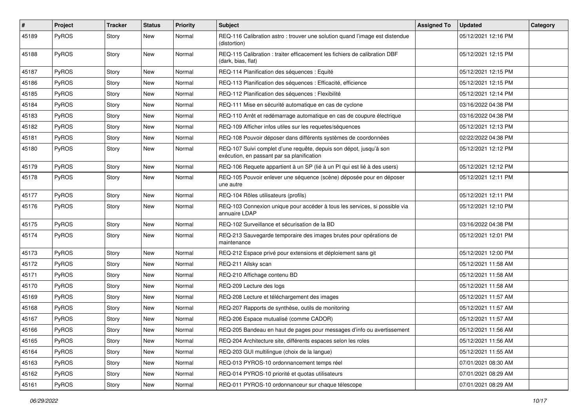| #     | Project      | <b>Tracker</b> | <b>Status</b> | <b>Priority</b> | <b>Subject</b>                                                                                                   | <b>Assigned To</b> | <b>Updated</b>      | Category |
|-------|--------------|----------------|---------------|-----------------|------------------------------------------------------------------------------------------------------------------|--------------------|---------------------|----------|
| 45189 | PyROS        | Story          | New           | Normal          | REQ-116 Calibration astro : trouver une solution quand l'image est distendue<br>(distortion)                     |                    | 05/12/2021 12:16 PM |          |
| 45188 | PyROS        | Story          | New           | Normal          | REQ-115 Calibration: traiter efficacement les fichiers de calibration DBF<br>(dark, bias, flat)                  |                    | 05/12/2021 12:15 PM |          |
| 45187 | PyROS        | Story          | <b>New</b>    | Normal          | REQ-114 Planification des séquences : Equité                                                                     |                    | 05/12/2021 12:15 PM |          |
| 45186 | <b>PyROS</b> | Story          | New           | Normal          | REQ-113 Planification des séquences : Efficacité, efficience                                                     |                    | 05/12/2021 12:15 PM |          |
| 45185 | PyROS        | Story          | <b>New</b>    | Normal          | REQ-112 Planification des séquences : Flexibilité                                                                |                    | 05/12/2021 12:14 PM |          |
| 45184 | PyROS        | Story          | New           | Normal          | REQ-111 Mise en sécurité automatique en cas de cyclone                                                           |                    | 03/16/2022 04:38 PM |          |
| 45183 | PyROS        | Story          | New           | Normal          | REQ-110 Arrêt et redémarrage automatique en cas de coupure électrique                                            |                    | 03/16/2022 04:38 PM |          |
| 45182 | PyROS        | Story          | <b>New</b>    | Normal          | REQ-109 Afficher infos utiles sur les requetes/séquences                                                         |                    | 05/12/2021 12:13 PM |          |
| 45181 | PyROS        | Story          | New           | Normal          | REQ-108 Pouvoir déposer dans différents systèmes de coordonnées                                                  |                    | 02/22/2022 04:38 PM |          |
| 45180 | PyROS        | Story          | New           | Normal          | REQ-107 Suivi complet d'une requête, depuis son dépot, jusqu'à son<br>exécution, en passant par sa planification |                    | 05/12/2021 12:12 PM |          |
| 45179 | PyROS        | Story          | New           | Normal          | REQ-106 Requete appartient à un SP (lié à un PI qui est lié à des users)                                         |                    | 05/12/2021 12:12 PM |          |
| 45178 | PyROS        | Story          | New           | Normal          | REQ-105 Pouvoir enlever une séquence (scène) déposée pour en déposer<br>une autre                                |                    | 05/12/2021 12:11 PM |          |
| 45177 | PyROS        | Story          | <b>New</b>    | Normal          | REQ-104 Rôles utilisateurs (profils)                                                                             |                    | 05/12/2021 12:11 PM |          |
| 45176 | PyROS        | Story          | <b>New</b>    | Normal          | REQ-103 Connexion unique pour accéder à tous les services, si possible via<br>annuaire LDAP                      |                    | 05/12/2021 12:10 PM |          |
| 45175 | PyROS        | Story          | <b>New</b>    | Normal          | REQ-102 Surveillance et sécurisation de la BD                                                                    |                    | 03/16/2022 04:38 PM |          |
| 45174 | PyROS        | Story          | New           | Normal          | REQ-213 Sauvegarde temporaire des images brutes pour opérations de<br>maintenance                                |                    | 05/12/2021 12:01 PM |          |
| 45173 | PyROS        | Story          | New           | Normal          | REQ-212 Espace privé pour extensions et déploiement sans git                                                     |                    | 05/12/2021 12:00 PM |          |
| 45172 | PyROS        | Story          | New           | Normal          | REQ-211 Allsky scan                                                                                              |                    | 05/12/2021 11:58 AM |          |
| 45171 | PyROS        | Story          | New           | Normal          | REQ-210 Affichage contenu BD                                                                                     |                    | 05/12/2021 11:58 AM |          |
| 45170 | PyROS        | Story          | New           | Normal          | REQ-209 Lecture des logs                                                                                         |                    | 05/12/2021 11:58 AM |          |
| 45169 | <b>PyROS</b> | Story          | New           | Normal          | REQ-208 Lecture et téléchargement des images                                                                     |                    | 05/12/2021 11:57 AM |          |
| 45168 | PyROS        | Story          | New           | Normal          | REQ-207 Rapports de synthèse, outils de monitoring                                                               |                    | 05/12/2021 11:57 AM |          |
| 45167 | PyROS        | Story          | New           | Normal          | REQ-206 Espace mutualisé (comme CADOR)                                                                           |                    | 05/12/2021 11:57 AM |          |
| 45166 | PyROS        | Story          | New           | Normal          | REQ-205 Bandeau en haut de pages pour messages d'info ou avertissement                                           |                    | 05/12/2021 11:56 AM |          |
| 45165 | PyROS        | Story          | New           | Normal          | REQ-204 Architecture site, différents espaces selon les roles                                                    |                    | 05/12/2021 11:56 AM |          |
| 45164 | PyROS        | Story          | New           | Normal          | REQ-203 GUI multilingue (choix de la langue)                                                                     |                    | 05/12/2021 11:55 AM |          |
| 45163 | PyROS        | Story          | New           | Normal          | REQ-013 PYROS-10 ordonnancement temps réel                                                                       |                    | 07/01/2021 08:30 AM |          |
| 45162 | PyROS        | Story          | New           | Normal          | REQ-014 PYROS-10 priorité et quotas utilisateurs                                                                 |                    | 07/01/2021 08:29 AM |          |
| 45161 | PyROS        | Story          | New           | Normal          | REQ-011 PYROS-10 ordonnanceur sur chaque télescope                                                               |                    | 07/01/2021 08:29 AM |          |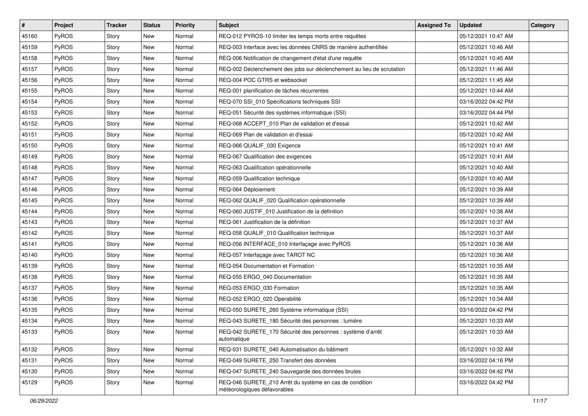| #     | Project | <b>Tracker</b> | <b>Status</b> | <b>Priority</b> | <b>Subject</b>                                                                          | <b>Assigned To</b> | <b>Updated</b>      | Category |
|-------|---------|----------------|---------------|-----------------|-----------------------------------------------------------------------------------------|--------------------|---------------------|----------|
| 45160 | PyROS   | Story          | New           | Normal          | REQ-012 PYROS-10 limiter les temps morts entre requêtes                                 |                    | 05/12/2021 10:47 AM |          |
| 45159 | PyROS   | Story          | New           | Normal          | REQ-003 Interface avec les données CNRS de manière authentifiée                         |                    | 05/12/2021 10:46 AM |          |
| 45158 | PyROS   | Story          | New           | Normal          | REQ-006 Notification de changement d'état d'une requête                                 |                    | 05/12/2021 10:45 AM |          |
| 45157 | PyROS   | Story          | New           | Normal          | REQ-002 Déclenchement des jobs sur déclenchement au lieu de scrutation                  |                    | 05/12/2021 11:46 AM |          |
| 45156 | PyROS   | Story          | <b>New</b>    | Normal          | REQ-004 POC GTRS et websocket                                                           |                    | 05/12/2021 11:45 AM |          |
| 45155 | PyROS   | Story          | New           | Normal          | REQ-001 planification de tâches récurrentes                                             |                    | 05/12/2021 10:44 AM |          |
| 45154 | PyROS   | Story          | New           | Normal          | REQ-070 SSI_010 Spécifications techniques SSI                                           |                    | 03/16/2022 04:42 PM |          |
| 45153 | PyROS   | Story          | New           | Normal          | REQ-051 Sécurité des systèmes informatique (SSI)                                        |                    | 03/16/2022 04:44 PM |          |
| 45152 | PyROS   | Story          | New           | Normal          | REQ-068 ACCEPT_010 Plan de validation et d'essai                                        |                    | 05/12/2021 10:42 AM |          |
| 45151 | PyROS   | Story          | New           | Normal          | REQ-069 Plan de validation et d'essai                                                   |                    | 05/12/2021 10:42 AM |          |
| 45150 | PyROS   | Story          | New           | Normal          | REQ-066 QUALIF_030 Exigence                                                             |                    | 05/12/2021 10:41 AM |          |
| 45149 | PyROS   | Story          | New           | Normal          | REQ-067 Qualification des exigences                                                     |                    | 05/12/2021 10:41 AM |          |
| 45148 | PyROS   | Story          | New           | Normal          | REQ-063 Qualification opérationnelle                                                    |                    | 05/12/2021 10:40 AM |          |
| 45147 | PyROS   | Story          | New           | Normal          | REQ-059 Qualification technique                                                         |                    | 05/12/2021 10:40 AM |          |
| 45146 | PyROS   | Story          | New           | Normal          | REQ-064 Déploiement                                                                     |                    | 05/12/2021 10:39 AM |          |
| 45145 | PyROS   | Story          | New           | Normal          | REQ-062 QUALIF_020 Qualification opérationnelle                                         |                    | 05/12/2021 10:39 AM |          |
| 45144 | PyROS   | Story          | New           | Normal          | REQ-060 JUSTIF_010 Justification de la définition                                       |                    | 05/12/2021 10:38 AM |          |
| 45143 | PyROS   | Story          | New           | Normal          | REQ-061 Justification de la définition                                                  |                    | 05/12/2021 10:37 AM |          |
| 45142 | PyROS   | Story          | New           | Normal          | REQ-058 QUALIF_010 Qualification technique                                              |                    | 05/12/2021 10:37 AM |          |
| 45141 | PyROS   | Story          | New           | Normal          | REQ-056 INTERFACE_010 Interfaçage avec PyROS                                            |                    | 05/12/2021 10:36 AM |          |
| 45140 | PyROS   | Story          | New           | Normal          | REQ-057 Interfaçage avec TAROT NC                                                       |                    | 05/12/2021 10:36 AM |          |
| 45139 | PyROS   | Story          | New           | Normal          | REQ-054 Documentation et Formation                                                      |                    | 05/12/2021 10:35 AM |          |
| 45138 | PyROS   | Story          | New           | Normal          | REQ-055 ERGO_040 Documentation                                                          |                    | 05/12/2021 10:35 AM |          |
| 45137 | PyROS   | Story          | New           | Normal          | REQ-053 ERGO_030 Formation                                                              |                    | 05/12/2021 10:35 AM |          |
| 45136 | PyROS   | Story          | New           | Normal          | REQ-052 ERGO_020 Operabilité                                                            |                    | 05/12/2021 10:34 AM |          |
| 45135 | PyROS   | Story          | New           | Normal          | REQ-050 SURETE_260 Système informatique (SSI)                                           |                    | 03/16/2022 04:42 PM |          |
| 45134 | PyROS   | Story          | New           | Normal          | REQ-043 SURETE_180 Sécurité des personnes : lumière                                     |                    | 05/12/2021 10:33 AM |          |
| 45133 | PyROS   | Story          | New           | Normal          | REQ-042 SURETE_170 Sécurité des personnes : système d'arrêt<br>automatique              |                    | 05/12/2021 10:33 AM |          |
| 45132 | PyROS   | Story          | New           | Normal          | REQ-031 SURETE_040 Automatisation du bâtiment                                           |                    | 05/12/2021 10:32 AM |          |
| 45131 | PyROS   | Story          | New           | Normal          | REQ-049 SURETE_250 Transfert des données                                                |                    | 03/16/2022 04:16 PM |          |
| 45130 | PyROS   | Story          | New           | Normal          | REQ-047 SURETE 240 Sauvegarde des données brutes                                        |                    | 03/16/2022 04:42 PM |          |
| 45129 | PyROS   | Story          | New           | Normal          | REQ-046 SURETE_210 Arrêt du système en cas de condition<br>météorologiques défavorables |                    | 03/16/2022 04:42 PM |          |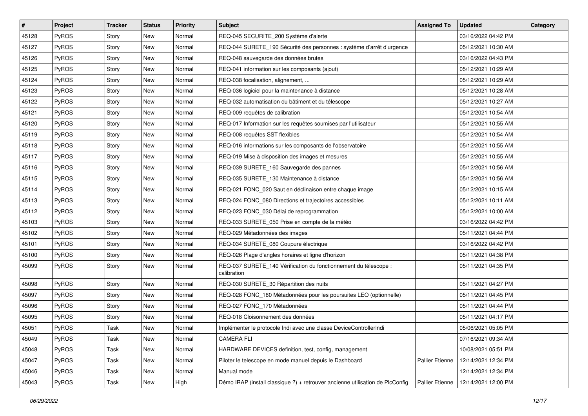| $\vert$ # | Project      | <b>Tracker</b> | <b>Status</b> | Priority | <b>Subject</b>                                                                  | <b>Assigned To</b>     | <b>Updated</b>      | Category |
|-----------|--------------|----------------|---------------|----------|---------------------------------------------------------------------------------|------------------------|---------------------|----------|
| 45128     | PyROS        | Story          | New           | Normal   | REQ-045 SECURITE_200 Système d'alerte                                           |                        | 03/16/2022 04:42 PM |          |
| 45127     | PyROS        | Story          | <b>New</b>    | Normal   | REQ-044 SURETE_190 Sécurité des personnes : système d'arrêt d'urgence           |                        | 05/12/2021 10:30 AM |          |
| 45126     | <b>PyROS</b> | Story          | New           | Normal   | REQ-048 sauvegarde des données brutes                                           |                        | 03/16/2022 04:43 PM |          |
| 45125     | PyROS        | Story          | New           | Normal   | REQ-041 information sur les composants (ajout)                                  |                        | 05/12/2021 10:29 AM |          |
| 45124     | PyROS        | Story          | New           | Normal   | REQ-038 focalisation, alignement,                                               |                        | 05/12/2021 10:29 AM |          |
| 45123     | PyROS        | Story          | New           | Normal   | REQ-036 logiciel pour la maintenance à distance                                 |                        | 05/12/2021 10:28 AM |          |
| 45122     | PyROS        | Story          | <b>New</b>    | Normal   | REQ-032 automatisation du bâtiment et du télescope                              |                        | 05/12/2021 10:27 AM |          |
| 45121     | PyROS        | Story          | New           | Normal   | REQ-009 requêtes de calibration                                                 |                        | 05/12/2021 10:54 AM |          |
| 45120     | PyROS        | Story          | New           | Normal   | REQ-017 Information sur les requêtes soumises par l'utilisateur                 |                        | 05/12/2021 10:55 AM |          |
| 45119     | PyROS        | Story          | New           | Normal   | REQ-008 requêtes SST flexibles                                                  |                        | 05/12/2021 10:54 AM |          |
| 45118     | PyROS        | Story          | New           | Normal   | REQ-016 informations sur les composants de l'observatoire                       |                        | 05/12/2021 10:55 AM |          |
| 45117     | PyROS        | Story          | New           | Normal   | REQ-019 Mise à disposition des images et mesures                                |                        | 05/12/2021 10:55 AM |          |
| 45116     | PyROS        | Story          | New           | Normal   | REQ-039 SURETE_160 Sauvegarde des pannes                                        |                        | 05/12/2021 10:56 AM |          |
| 45115     | PyROS        | Story          | New           | Normal   | REQ-035 SURETE_130 Maintenance à distance                                       |                        | 05/12/2021 10:56 AM |          |
| 45114     | PyROS        | Story          | <b>New</b>    | Normal   | REQ-021 FONC_020 Saut en déclinaison entre chaque image                         |                        | 05/12/2021 10:15 AM |          |
| 45113     | <b>PyROS</b> | Story          | New           | Normal   | REQ-024 FONC 080 Directions et trajectoires accessibles                         |                        | 05/12/2021 10:11 AM |          |
| 45112     | PyROS        | Story          | New           | Normal   | REQ-023 FONC_030 Délai de reprogrammation                                       |                        | 05/12/2021 10:00 AM |          |
| 45103     | PyROS        | Story          | New           | Normal   | REQ-033 SURETE_050 Prise en compte de la météo                                  |                        | 03/16/2022 04:42 PM |          |
| 45102     | PyROS        | Story          | New           | Normal   | REQ-029 Métadonnées des images                                                  |                        | 05/11/2021 04:44 PM |          |
| 45101     | PyROS        | Story          | New           | Normal   | REQ-034 SURETE_080 Coupure électrique                                           |                        | 03/16/2022 04:42 PM |          |
| 45100     | PyROS        | Story          | New           | Normal   | REQ-026 Plage d'angles horaires et ligne d'horizon                              |                        | 05/11/2021 04:38 PM |          |
| 45099     | PyROS        | Story          | New           | Normal   | REQ-037 SURETE_140 Vérification du fonctionnement du télescope :<br>calibration |                        | 05/11/2021 04:35 PM |          |
| 45098     | PyROS        | Story          | New           | Normal   | REQ-030 SURETE_30 Répartition des nuits                                         |                        | 05/11/2021 04:27 PM |          |
| 45097     | PyROS        | Story          | New           | Normal   | REQ-028 FONC_180 Métadonnées pour les poursuites LEO (optionnelle)              |                        | 05/11/2021 04:45 PM |          |
| 45096     | PyROS        | Story          | New           | Normal   | REQ-027 FONC 170 Métadonnées                                                    |                        | 05/11/2021 04:44 PM |          |
| 45095     | PyROS        | Story          | New           | Normal   | REQ-018 Cloisonnement des données                                               |                        | 05/11/2021 04:17 PM |          |
| 45051     | PyROS        | Task           | <b>New</b>    | Normal   | Implémenter le protocole Indi avec une classe DeviceControllerIndi              |                        | 05/06/2021 05:05 PM |          |
| 45049     | PyROS        | Task           | New           | Normal   | <b>CAMERA FLI</b>                                                               |                        | 07/16/2021 09:34 AM |          |
| 45048     | PyROS        | Task           | New           | Normal   | HARDWARE DEVICES definition, test, config, management                           |                        | 10/08/2021 05:51 PM |          |
| 45047     | PyROS        | Task           | New           | Normal   | Piloter le telescope en mode manuel depuis le Dashboard                         | <b>Pallier Etienne</b> | 12/14/2021 12:34 PM |          |
| 45046     | PyROS        | Task           | New           | Normal   | Manual mode                                                                     |                        | 12/14/2021 12:34 PM |          |
| 45043     | PyROS        | Task           | New           | High     | Démo IRAP (install classique ?) + retrouver ancienne utilisation de PlcConfig   | Pallier Etienne        | 12/14/2021 12:00 PM |          |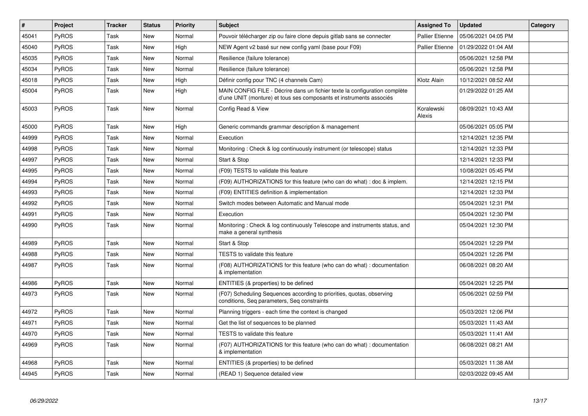| $\#$  | <b>Project</b> | <b>Tracker</b> | <b>Status</b> | Priority | <b>Subject</b>                                                                                                                                    | <b>Assigned To</b>     | <b>Updated</b>      | Category |
|-------|----------------|----------------|---------------|----------|---------------------------------------------------------------------------------------------------------------------------------------------------|------------------------|---------------------|----------|
| 45041 | PyROS          | Task           | New           | Normal   | Pouvoir télécharger zip ou faire clone depuis gitlab sans se connecter                                                                            | <b>Pallier Etienne</b> | 05/06/2021 04:05 PM |          |
| 45040 | PyROS          | Task           | <b>New</b>    | High     | NEW Agent v2 basé sur new config yaml (base pour F09)                                                                                             | <b>Pallier Etienne</b> | 01/29/2022 01:04 AM |          |
| 45035 | PyROS          | Task           | New           | Normal   | Resilience (failure tolerance)                                                                                                                    |                        | 05/06/2021 12:58 PM |          |
| 45034 | PyROS          | Task           | <b>New</b>    | Normal   | Resilience (failure tolerance)                                                                                                                    |                        | 05/06/2021 12:58 PM |          |
| 45018 | PyROS          | Task           | <b>New</b>    | High     | Définir config pour TNC (4 channels Cam)                                                                                                          | Klotz Alain            | 10/12/2021 08:52 AM |          |
| 45004 | PyROS          | Task           | <b>New</b>    | High     | MAIN CONFIG FILE - Décrire dans un fichier texte la configuration complète<br>d'une UNIT (monture) et tous ses composants et instruments associés |                        | 01/29/2022 01:25 AM |          |
| 45003 | PyROS          | Task           | <b>New</b>    | Normal   | Config Read & View                                                                                                                                | Koralewski<br>Alexis   | 08/09/2021 10:43 AM |          |
| 45000 | PyROS          | Task           | New           | High     | Generic commands grammar description & management                                                                                                 |                        | 05/06/2021 05:05 PM |          |
| 44999 | PyROS          | Task           | <b>New</b>    | Normal   | Execution                                                                                                                                         |                        | 12/14/2021 12:35 PM |          |
| 44998 | PyROS          | Task           | New           | Normal   | Monitoring: Check & log continuously instrument (or telescope) status                                                                             |                        | 12/14/2021 12:33 PM |          |
| 44997 | PyROS          | Task           | <b>New</b>    | Normal   | Start & Stop                                                                                                                                      |                        | 12/14/2021 12:33 PM |          |
| 44995 | PyROS          | Task           | New           | Normal   | (F09) TESTS to validate this feature                                                                                                              |                        | 10/08/2021 05:45 PM |          |
| 44994 | PyROS          | Task           | <b>New</b>    | Normal   | (F09) AUTHORIZATIONS for this feature (who can do what) : doc & implem.                                                                           |                        | 12/14/2021 12:15 PM |          |
| 44993 | PyROS          | Task           | <b>New</b>    | Normal   | (F09) ENTITIES definition & implementation                                                                                                        |                        | 12/14/2021 12:33 PM |          |
| 44992 | PyROS          | Task           | <b>New</b>    | Normal   | Switch modes between Automatic and Manual mode                                                                                                    |                        | 05/04/2021 12:31 PM |          |
| 44991 | PyROS          | Task           | New           | Normal   | Execution                                                                                                                                         |                        | 05/04/2021 12:30 PM |          |
| 44990 | PyROS          | Task           | <b>New</b>    | Normal   | Monitoring: Check & log continuously Telescope and instruments status, and<br>make a general synthesis                                            |                        | 05/04/2021 12:30 PM |          |
| 44989 | PyROS          | Task           | <b>New</b>    | Normal   | Start & Stop                                                                                                                                      |                        | 05/04/2021 12:29 PM |          |
| 44988 | PyROS          | Task           | <b>New</b>    | Normal   | <b>TESTS</b> to validate this feature                                                                                                             |                        | 05/04/2021 12:26 PM |          |
| 44987 | PyROS          | Task           | <b>New</b>    | Normal   | (F08) AUTHORIZATIONS for this feature (who can do what) : documentation<br>& implementation                                                       |                        | 06/08/2021 08:20 AM |          |
| 44986 | PyROS          | Task           | <b>New</b>    | Normal   | ENTITIES (& properties) to be defined                                                                                                             |                        | 05/04/2021 12:25 PM |          |
| 44973 | PyROS          | Task           | <b>New</b>    | Normal   | (F07) Scheduling Sequences according to priorities, quotas, observing<br>conditions, Seq parameters, Seq constraints                              |                        | 05/06/2021 02:59 PM |          |
| 44972 | PyROS          | Task           | New           | Normal   | Planning triggers - each time the context is changed                                                                                              |                        | 05/03/2021 12:06 PM |          |
| 44971 | PyROS          | Task           | New           | Normal   | Get the list of sequences to be planned                                                                                                           |                        | 05/03/2021 11:43 AM |          |
| 44970 | PyROS          | Task           | New           | Normal   | <b>TESTS to validate this feature</b>                                                                                                             |                        | 05/03/2021 11:41 AM |          |
| 44969 | PyROS          | Task           | New           | Normal   | (F07) AUTHORIZATIONS for this feature (who can do what) : documentation<br>& implementation                                                       |                        | 06/08/2021 08:21 AM |          |
| 44968 | PyROS          | Task           | <b>New</b>    | Normal   | ENTITIES (& properties) to be defined                                                                                                             |                        | 05/03/2021 11:38 AM |          |
| 44945 | PyROS          | Task           | New           | Normal   | (READ 1) Sequence detailed view                                                                                                                   |                        | 02/03/2022 09:45 AM |          |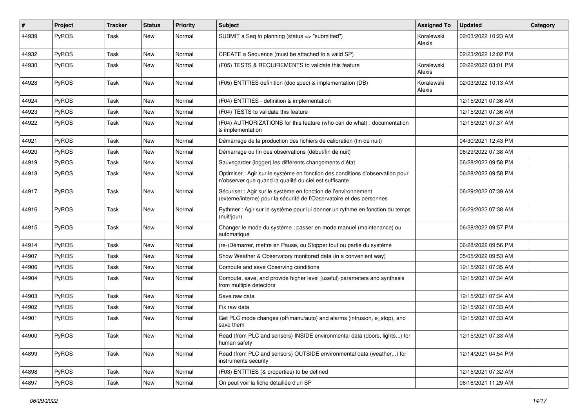| $\sharp$ | Project | <b>Tracker</b> | <b>Status</b> | <b>Priority</b> | Subject                                                                                                                                 | <b>Assigned To</b>   | <b>Updated</b>      | Category |
|----------|---------|----------------|---------------|-----------------|-----------------------------------------------------------------------------------------------------------------------------------------|----------------------|---------------------|----------|
| 44939    | PyROS   | Task           | New           | Normal          | SUBMIT a Seq to planning (status => "submitted")                                                                                        | Koralewski<br>Alexis | 02/03/2022 10:23 AM |          |
| 44932    | PyROS   | Task           | <b>New</b>    | Normal          | CREATE a Sequence (must be attached to a valid SP)                                                                                      |                      | 02/23/2022 12:02 PM |          |
| 44930    | PyROS   | Task           | New           | Normal          | (F05) TESTS & REQUIREMENTS to validate this feature                                                                                     | Koralewski<br>Alexis | 02/22/2022 03:01 PM |          |
| 44928    | PyROS   | <b>Task</b>    | New           | Normal          | (F05) ENTITIES definition (doc spec) & implementation (DB)                                                                              | Koralewski<br>Alexis | 02/03/2022 10:13 AM |          |
| 44924    | PyROS   | <b>Task</b>    | New           | Normal          | (F04) ENTITIES - definition & implementation                                                                                            |                      | 12/15/2021 07:36 AM |          |
| 44923    | PyROS   | Task           | New           | Normal          | (F04) TESTS to validate this feature                                                                                                    |                      | 12/15/2021 07:36 AM |          |
| 44922    | PyROS   | Task           | New           | Normal          | (F04) AUTHORIZATIONS for this feature (who can do what) : documentation<br>& implementation                                             |                      | 12/15/2021 07:37 AM |          |
| 44921    | PyROS   | Task           | New           | Normal          | Démarrage de la production des fichiers de calibration (fin de nuit)                                                                    |                      | 04/30/2021 12:43 PM |          |
| 44920    | PyROS   | <b>Task</b>    | <b>New</b>    | Normal          | Démarrage ou fin des observations (début/fin de nuit)                                                                                   |                      | 06/29/2022 07:38 AM |          |
| 44919    | PyROS   | Task           | New           | Normal          | Sauvegarder (logger) les différents changements d'état                                                                                  |                      | 06/28/2022 09:58 PM |          |
| 44918    | PyROS   | Task           | New           | Normal          | Optimiser : Agir sur le système en fonction des conditions d'observation pour<br>n'observer que quand la qualité du ciel est suffisante |                      | 06/28/2022 09:58 PM |          |
| 44917    | PyROS   | Task           | New           | Normal          | Sécuriser : Agir sur le système en fonction de l'environnement<br>(externe/interne) pour la sécurité de l'Observatoire et des personnes |                      | 06/29/2022 07:39 AM |          |
| 44916    | PyROS   | Task           | New           | Normal          | Rythmer : Agir sur le système pour lui donner un rythme en fonction du temps<br>(nuit/jour)                                             |                      | 06/29/2022 07:38 AM |          |
| 44915    | PyROS   | <b>Task</b>    | New           | Normal          | Changer le mode du système : passer en mode manuel (maintenance) ou<br>automatique                                                      |                      | 06/28/2022 09:57 PM |          |
| 44914    | PyROS   | Task           | New           | Normal          | (re-)Démarrer, mettre en Pause, ou Stopper tout ou partie du système                                                                    |                      | 06/28/2022 09:56 PM |          |
| 44907    | PyROS   | Task           | New           | Normal          | Show Weather & Observatory monitored data (in a convenient way)                                                                         |                      | 05/05/2022 09:53 AM |          |
| 44906    | PyROS   | Task           | New           | Normal          | Compute and save Observing conditions                                                                                                   |                      | 12/15/2021 07:35 AM |          |
| 44904    | PyROS   | Task           | <b>New</b>    | Normal          | Compute, save, and provide higher level (useful) parameters and synthesis<br>from multiple detectors                                    |                      | 12/15/2021 07:34 AM |          |
| 44903    | PyROS   | Task           | New           | Normal          | Save raw data                                                                                                                           |                      | 12/15/2021 07:34 AM |          |
| 44902    | PyROS   | <b>Task</b>    | <b>New</b>    | Normal          | Fix raw data                                                                                                                            |                      | 12/15/2021 07:33 AM |          |
| 44901    | PyROS   | Task           | New           | Normal          | Get PLC mode changes (off/manu/auto) and alarms (intrusion, e_stop), and<br>save them                                                   |                      | 12/15/2021 07:33 AM |          |
| 44900    | PyROS   | Task           | New           | Normal          | Read (from PLC and sensors) INSIDE environmental data (doors, lights) for<br>human safety                                               |                      | 12/15/2021 07:33 AM |          |
| 44899    | PyROS   | Task           | New           | Normal          | Read (from PLC and sensors) OUTSIDE environmental data (weather) for<br>instruments security                                            |                      | 12/14/2021 04:54 PM |          |
| 44898    | PyROS   | Task           | New           | Normal          | (F03) ENTITIES (& properties) to be defined                                                                                             |                      | 12/15/2021 07:32 AM |          |
| 44897    | PyROS   | Task           | New           | Normal          | On peut voir la fiche détaillée d'un SP                                                                                                 |                      | 06/16/2021 11:29 AM |          |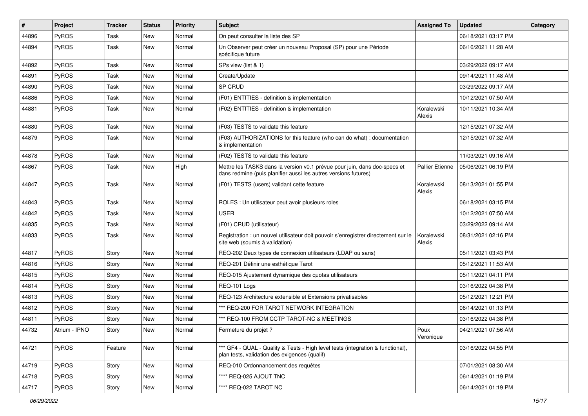| #     | Project       | <b>Tracker</b> | <b>Status</b> | <b>Priority</b> | <b>Subject</b>                                                                                                                               | <b>Assigned To</b>     | <b>Updated</b>      | Category |
|-------|---------------|----------------|---------------|-----------------|----------------------------------------------------------------------------------------------------------------------------------------------|------------------------|---------------------|----------|
| 44896 | PyROS         | Task           | <b>New</b>    | Normal          | On peut consulter la liste des SP                                                                                                            |                        | 06/18/2021 03:17 PM |          |
| 44894 | PyROS         | Task           | New           | Normal          | Un Observer peut créer un nouveau Proposal (SP) pour une Période<br>spécifique future                                                        |                        | 06/16/2021 11:28 AM |          |
| 44892 | PyROS         | Task           | <b>New</b>    | Normal          | SPs view (list & 1)                                                                                                                          |                        | 03/29/2022 09:17 AM |          |
| 44891 | PyROS         | Task           | <b>New</b>    | Normal          | Create/Update                                                                                                                                |                        | 09/14/2021 11:48 AM |          |
| 44890 | PyROS         | Task           | New           | Normal          | SP CRUD                                                                                                                                      |                        | 03/29/2022 09:17 AM |          |
| 44886 | PyROS         | Task           | <b>New</b>    | Normal          | (F01) ENTITIES - definition & implementation                                                                                                 |                        | 10/12/2021 07:50 AM |          |
| 44881 | PyROS         | Task           | New           | Normal          | (F02) ENTITIES - definition & implementation                                                                                                 | Koralewski<br>Alexis   | 10/11/2021 10:34 AM |          |
| 44880 | PyROS         | Task           | <b>New</b>    | Normal          | (F03) TESTS to validate this feature                                                                                                         |                        | 12/15/2021 07:32 AM |          |
| 44879 | PyROS         | Task           | New           | Normal          | (F03) AUTHORIZATIONS for this feature (who can do what) : documentation<br>& implementation                                                  |                        | 12/15/2021 07:32 AM |          |
| 44878 | PyROS         | Task           | New           | Normal          | (F02) TESTS to validate this feature                                                                                                         |                        | 11/03/2021 09:16 AM |          |
| 44867 | PyROS         | Task           | New           | High            | Mettre les TASKS dans la version v0.1 prévue pour juin, dans doc-specs et<br>dans redmine (puis planifier aussi les autres versions futures) | <b>Pallier Etienne</b> | 05/06/2021 06:19 PM |          |
| 44847 | PyROS         | Task           | New           | Normal          | (F01) TESTS (users) validant cette feature                                                                                                   | Koralewski<br>Alexis   | 08/13/2021 01:55 PM |          |
| 44843 | PyROS         | Task           | <b>New</b>    | Normal          | ROLES : Un utilisateur peut avoir plusieurs roles                                                                                            |                        | 06/18/2021 03:15 PM |          |
| 44842 | PyROS         | Task           | New           | Normal          | <b>USER</b>                                                                                                                                  |                        | 10/12/2021 07:50 AM |          |
| 44835 | PyROS         | Task           | <b>New</b>    | Normal          | (F01) CRUD (utilisateur)                                                                                                                     |                        | 03/29/2022 09:14 AM |          |
| 44833 | PyROS         | Task           | New           | Normal          | Registration : un nouvel utilisateur doit pouvoir s'enregistrer directement sur le<br>site web (soumis à validation)                         | Koralewski<br>Alexis   | 08/31/2021 02:16 PM |          |
| 44817 | PyROS         | Story          | New           | Normal          | REQ-202 Deux types de connexion utilisateurs (LDAP ou sans)                                                                                  |                        | 05/11/2021 03:43 PM |          |
| 44816 | PyROS         | Story          | New           | Normal          | REQ-201 Définir une esthétique Tarot                                                                                                         |                        | 05/12/2021 11:53 AM |          |
| 44815 | PyROS         | Story          | New           | Normal          | REQ-015 Ajustement dynamique des quotas utilisateurs                                                                                         |                        | 05/11/2021 04:11 PM |          |
| 44814 | PyROS         | Story          | <b>New</b>    | Normal          | REQ-101 Logs                                                                                                                                 |                        | 03/16/2022 04:38 PM |          |
| 44813 | <b>PyROS</b>  | Story          | New           | Normal          | REQ-123 Architecture extensible et Extensions privatisables                                                                                  |                        | 05/12/2021 12:21 PM |          |
| 44812 | PyROS         | Story          | New           | Normal          | *** REQ-200 FOR TAROT NETWORK INTEGRATION                                                                                                    |                        | 06/14/2021 01:13 PM |          |
| 44811 | PyROS         | Story          | New           | Normal          | *** REQ-100 FROM CCTP TAROT-NC & MEETINGS                                                                                                    |                        | 03/16/2022 04:38 PM |          |
| 44732 | Atrium - IPNO | Story          | <b>New</b>    | Normal          | Fermeture du projet?                                                                                                                         | Poux<br>Veronique      | 04/21/2021 07:56 AM |          |
| 44721 | PyROS         | Feature        | New           | Normal          | *** GF4 - QUAL - Quality & Tests - High level tests (integration & functional),<br>plan tests, validation des exigences (qualif)             |                        | 03/16/2022 04:55 PM |          |
| 44719 | PyROS         | Story          | New           | Normal          | REQ-010 Ordonnancement des requêtes                                                                                                          |                        | 07/01/2021 08:30 AM |          |
| 44718 | PyROS         | Story          | New           | Normal          | **** REQ-025 AJOUT TNC                                                                                                                       |                        | 06/14/2021 01:19 PM |          |
| 44717 | PyROS         | Story          | New           | Normal          | **** REQ-022 TAROT NC                                                                                                                        |                        | 06/14/2021 01:19 PM |          |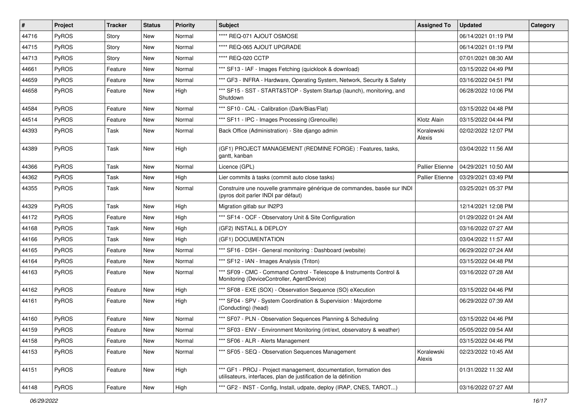| $\vert$ # | Project      | <b>Tracker</b> | <b>Status</b> | <b>Priority</b> | <b>Subject</b>                                                                                                                        | <b>Assigned To</b>     | <b>Updated</b>      | Category |
|-----------|--------------|----------------|---------------|-----------------|---------------------------------------------------------------------------------------------------------------------------------------|------------------------|---------------------|----------|
| 44716     | PyROS        | Story          | New           | Normal          | **** REQ-071 AJOUT OSMOSE                                                                                                             |                        | 06/14/2021 01:19 PM |          |
| 44715     | PyROS        | Story          | <b>New</b>    | Normal          | **** REQ-065 AJOUT UPGRADE                                                                                                            |                        | 06/14/2021 01:19 PM |          |
| 44713     | PyROS        | Story          | New           | Normal          | **** REQ-020 CCTP                                                                                                                     |                        | 07/01/2021 08:30 AM |          |
| 44661     | PyROS        | Feature        | New           | Normal          | *** SF13 - IAF - Images Fetching (quicklook & download)                                                                               |                        | 03/15/2022 04:49 PM |          |
| 44659     | PyROS        | Feature        | New           | Normal          | *** GF3 - INFRA - Hardware, Operating System, Network, Security & Safety                                                              |                        | 03/16/2022 04:51 PM |          |
| 44658     | PyROS        | Feature        | New           | High            | *** SF15 - SST - START&STOP - System Startup (launch), monitoring, and<br>Shutdown                                                    |                        | 06/28/2022 10:06 PM |          |
| 44584     | PyROS        | Feature        | New           | Normal          | *** SF10 - CAL - Calibration (Dark/Bias/Flat)                                                                                         |                        | 03/15/2022 04:48 PM |          |
| 44514     | PyROS        | Feature        | New           | Normal          | *** SF11 - IPC - Images Processing (Grenouille)                                                                                       | Klotz Alain            | 03/15/2022 04:44 PM |          |
| 44393     | PyROS        | Task           | New           | Normal          | Back Office (Administration) - Site django admin                                                                                      | Koralewski<br>Alexis   | 02/02/2022 12:07 PM |          |
| 44389     | PyROS        | Task           | New           | High            | (GF1) PROJECT MANAGEMENT (REDMINE FORGE) : Features, tasks,<br>gantt, kanban                                                          |                        | 03/04/2022 11:56 AM |          |
| 44366     | PyROS        | Task           | New           | Normal          | Licence (GPL)                                                                                                                         | Pallier Etienne        | 04/29/2021 10:50 AM |          |
| 44362     | PyROS        | Task           | New           | High            | Lier commits à tasks (commit auto close tasks)                                                                                        | <b>Pallier Etienne</b> | 03/29/2021 03:49 PM |          |
| 44355     | <b>PyROS</b> | Task           | New           | Normal          | Construire une nouvelle grammaire générique de commandes, basée sur INDI<br>(pyros doit parler INDI par défaut)                       |                        | 03/25/2021 05:37 PM |          |
| 44329     | PyROS        | Task           | <b>New</b>    | High            | Migration gitlab sur IN2P3                                                                                                            |                        | 12/14/2021 12:08 PM |          |
| 44172     | <b>PyROS</b> | Feature        | New           | High            | *** SF14 - OCF - Observatory Unit & Site Configuration                                                                                |                        | 01/29/2022 01:24 AM |          |
| 44168     | PyROS        | Task           | New           | High            | (GF2) INSTALL & DEPLOY                                                                                                                |                        | 03/16/2022 07:27 AM |          |
| 44166     | PyROS        | Task           | New           | High            | (GF1) DOCUMENTATION                                                                                                                   |                        | 03/04/2022 11:57 AM |          |
| 44165     | PyROS        | Feature        | New           | Normal          | *** SF16 - DSH - General monitoring : Dashboard (website)                                                                             |                        | 06/29/2022 07:24 AM |          |
| 44164     | PyROS        | Feature        | New           | Normal          | *** SF12 - IAN - Images Analysis (Triton)                                                                                             |                        | 03/15/2022 04:48 PM |          |
| 44163     | <b>PyROS</b> | Feature        | New           | Normal          | *** SF09 - CMC - Command Control - Telescope & Instruments Control &<br>Monitoring (DeviceController, AgentDevice)                    |                        | 03/16/2022 07:28 AM |          |
| 44162     | PyROS        | Feature        | New           | High            | *** SF08 - EXE (SOX) - Observation Sequence (SO) eXecution                                                                            |                        | 03/15/2022 04:46 PM |          |
| 44161     | PyROS        | Feature        | New           | High            | *** SF04 - SPV - System Coordination & Supervision : Majordome<br>(Conducting) (head)                                                 |                        | 06/29/2022 07:39 AM |          |
| 44160     | PyROS        | Feature        | New           | Normal          | *** SF07 - PLN - Observation Sequences Planning & Scheduling                                                                          |                        | 03/15/2022 04:46 PM |          |
| 44159     | PyROS        | Feature        | New           | Normal          | *** SF03 - ENV - Environment Monitoring (int/ext, observatory & weather)                                                              |                        | 05/05/2022 09:54 AM |          |
| 44158     | PyROS        | Feature        | New           | Normal          | *** SF06 - ALR - Alerts Management                                                                                                    |                        | 03/15/2022 04:46 PM |          |
| 44153     | PyROS        | Feature        | New           | Normal          | *** SF05 - SEQ - Observation Sequences Management                                                                                     | Koralewski<br>Alexis   | 02/23/2022 10:45 AM |          |
| 44151     | PyROS        | Feature        | New           | High            | *** GF1 - PROJ - Project management, documentation, formation des<br>utilisateurs, interfaces, plan de justification de la définition |                        | 01/31/2022 11:32 AM |          |
| 44148     | PyROS        | Feature        | New           | High            | *** GF2 - INST - Config, Install, udpate, deploy (IRAP, CNES, TAROT)                                                                  |                        | 03/16/2022 07:27 AM |          |